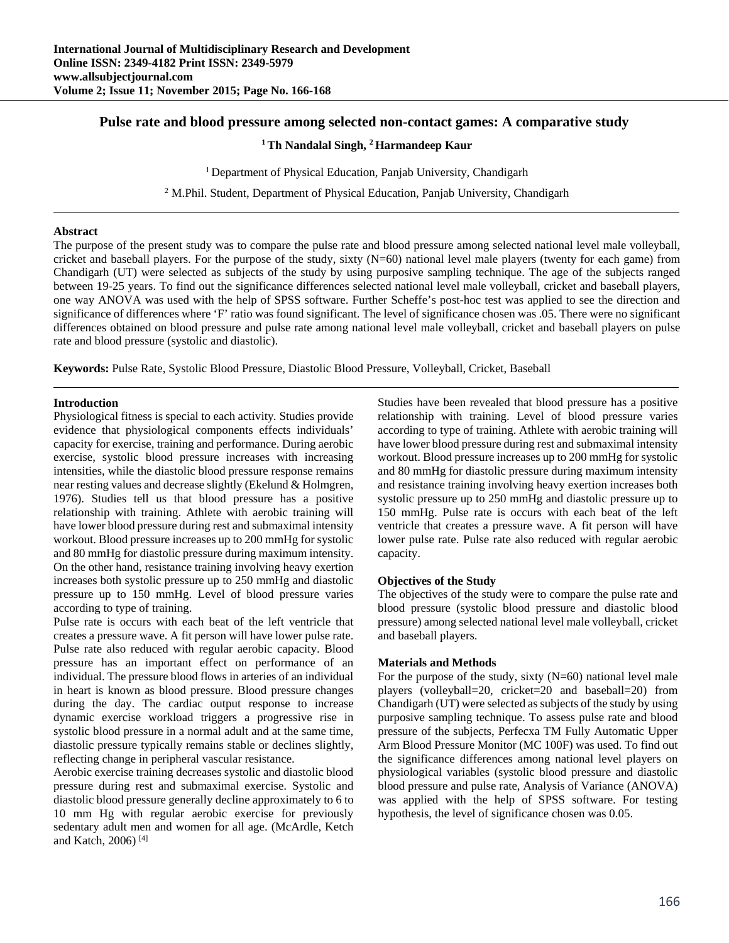# **Pulse rate and blood pressure among selected non-contact games: A comparative study**

## **1 Th Nandalal Singh, 2 Harmandeep Kaur**

<sup>1</sup> Department of Physical Education, Panjab University, Chandigarh

<sup>2</sup> M.Phil. Student, Department of Physical Education, Panjab University, Chandigarh

### **Abstract**

The purpose of the present study was to compare the pulse rate and blood pressure among selected national level male volleyball, cricket and baseball players. For the purpose of the study, sixty  $(N=60)$  national level male players (twenty for each game) from Chandigarh (UT) were selected as subjects of the study by using purposive sampling technique. The age of the subjects ranged between 19-25 years. To find out the significance differences selected national level male volleyball, cricket and baseball players, one way ANOVA was used with the help of SPSS software. Further Scheffe's post-hoc test was applied to see the direction and significance of differences where 'F' ratio was found significant. The level of significance chosen was .05. There were no significant differences obtained on blood pressure and pulse rate among national level male volleyball, cricket and baseball players on pulse rate and blood pressure (systolic and diastolic).

**Keywords:** Pulse Rate, Systolic Blood Pressure, Diastolic Blood Pressure, Volleyball, Cricket, Baseball

### **Introduction**

Physiological fitness is special to each activity*.* Studies provide evidence that physiological components effects individuals' capacity for exercise, training and performance. During aerobic exercise, systolic blood pressure increases with increasing intensities, while the diastolic blood pressure response remains near resting values and decrease slightly (Ekelund & Holmgren, 1976). Studies tell us that blood pressure has a positive relationship with training. Athlete with aerobic training will have lower blood pressure during rest and submaximal intensity workout. Blood pressure increases up to 200 mmHg for systolic and 80 mmHg for diastolic pressure during maximum intensity. On the other hand, resistance training involving heavy exertion increases both systolic pressure up to 250 mmHg and diastolic pressure up to 150 mmHg. Level of blood pressure varies according to type of training.

Pulse rate is occurs with each beat of the left ventricle that creates a pressure wave. A fit person will have lower pulse rate. Pulse rate also reduced with regular aerobic capacity. Blood pressure has an important effect on performance of an individual. The pressure blood flows in arteries of an individual in heart is known as blood pressure. Blood pressure changes during the day. The cardiac output response to increase dynamic exercise workload triggers a progressive rise in systolic blood pressure in a normal adult and at the same time, diastolic pressure typically remains stable or declines slightly, reflecting change in peripheral vascular resistance.

Aerobic exercise training decreases systolic and diastolic blood pressure during rest and submaximal exercise. Systolic and diastolic blood pressure generally decline approximately to 6 to 10 mm Hg with regular aerobic exercise for previously sedentary adult men and women for all age. (McArdle, Ketch and Katch, 2006) [4]

Studies have been revealed that blood pressure has a positive relationship with training. Level of blood pressure varies according to type of training. Athlete with aerobic training will have lower blood pressure during rest and submaximal intensity workout. Blood pressure increases up to 200 mmHg for systolic and 80 mmHg for diastolic pressure during maximum intensity and resistance training involving heavy exertion increases both systolic pressure up to 250 mmHg and diastolic pressure up to 150 mmHg. Pulse rate is occurs with each beat of the left ventricle that creates a pressure wave. A fit person will have lower pulse rate. Pulse rate also reduced with regular aerobic capacity.

#### **Objectives of the Study**

The objectives of the study were to compare the pulse rate and blood pressure (systolic blood pressure and diastolic blood pressure) among selected national level male volleyball, cricket and baseball players.

#### **Materials and Methods**

For the purpose of the study, sixty (N=60) national level male players (volleyball=20, cricket=20 and baseball=20) from Chandigarh (UT) were selected as subjects of the study by using purposive sampling technique. To assess pulse rate and blood pressure of the subjects, Perfecxa TM Fully Automatic Upper Arm Blood Pressure Monitor (MC 100F) was used. To find out the significance differences among national level players on physiological variables (systolic blood pressure and diastolic blood pressure and pulse rate, Analysis of Variance (ANOVA) was applied with the help of SPSS software. For testing hypothesis, the level of significance chosen was 0.05.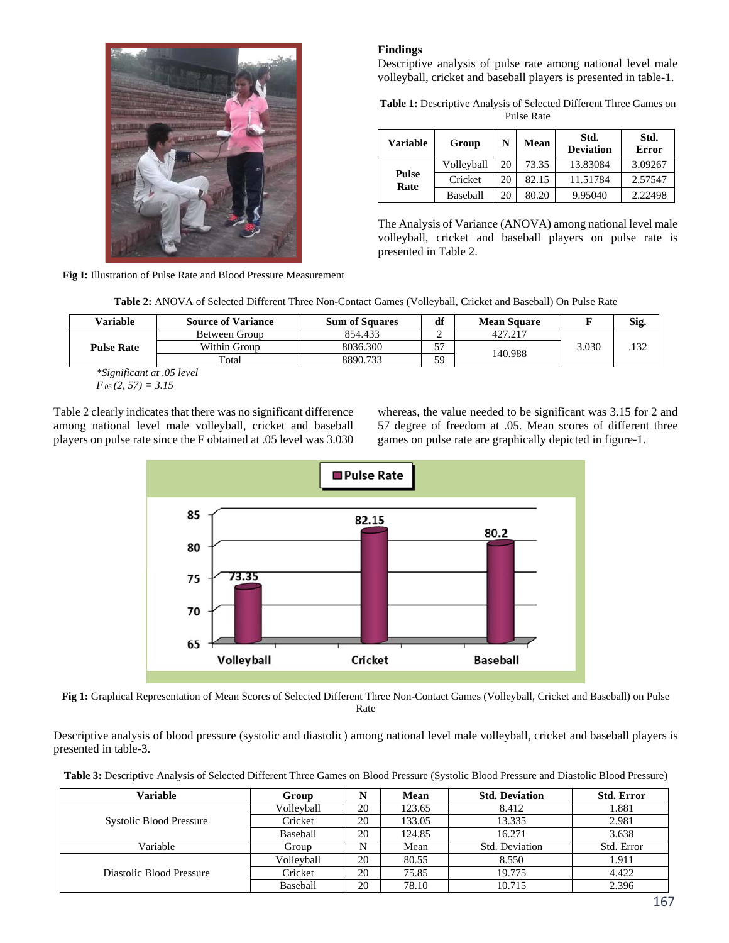

**Fig I:** Illustration of Pulse Rate and Blood Pressure Measurement

# **Findings**

Descriptive analysis of pulse rate among national level male volleyball, cricket and baseball players is presented in table-1.

**Table 1:** Descriptive Analysis of Selected Different Three Games on Pulse Rate

| <b>Variable</b> | Group      | N  | Mean  | Std.<br><b>Deviation</b> | Std.<br><b>Error</b> |
|-----------------|------------|----|-------|--------------------------|----------------------|
| Pulse<br>Rate   | Volleyball | 20 | 73.35 | 13.83084                 | 3.09267              |
|                 | Cricket    | 20 | 82.15 | 11.51784                 | 2.57547              |
|                 | Baseball   | 20 | 80.20 | 9.95040                  | 2.22498              |

The Analysis of Variance (ANOVA) among national level male volleyball, cricket and baseball players on pulse rate is presented in Table 2.

**Table 2:** ANOVA of Selected Different Three Non-Contact Games (Volleyball, Cricket and Baseball) On Pulse Rate

| Variable                               | <b>Source of Variance</b>  | <b>Sum of Squares</b> | df                               | <b>Mean Square</b> |       | Sig. |
|----------------------------------------|----------------------------|-----------------------|----------------------------------|--------------------|-------|------|
| <b>Pulse Rate</b>                      | Between Group              | 854.433               |                                  | 427.217            | 3.030 |      |
|                                        | Within Group               | 8036.300              | $-1$<br>$\overline{\phantom{a}}$ | 140.988            |       |      |
|                                        | Total                      | 8890.733              | 59                               |                    |       |      |
| $\sim$ $\sim$ $\sim$<br>$\cdot$ $\sim$ | $\cdots$ $\alpha$ $\alpha$ |                       |                                  |                    |       |      |

*\*Significant at .05 level F.05 (2, 57) = 3.15*

Table 2 clearly indicates that there was no significant difference among national level male volleyball, cricket and baseball players on pulse rate since the F obtained at .05 level was 3.030

whereas, the value needed to be significant was 3.15 for 2 and 57 degree of freedom at .05. Mean scores of different three games on pulse rate are graphically depicted in figure-1.



**Fig 1:** Graphical Representation of Mean Scores of Selected Different Three Non-Contact Games (Volleyball, Cricket and Baseball) on Pulse Rate

Descriptive analysis of blood pressure (systolic and diastolic) among national level male volleyball, cricket and baseball players is presented in table-3.

**Table 3:** Descriptive Analysis of Selected Different Three Games on Blood Pressure (Systolic Blood Pressure and Diastolic Blood Pressure)

| Variable                       | Group      |    | Mean   | <b>Std. Deviation</b> | <b>Std. Error</b> |
|--------------------------------|------------|----|--------|-----------------------|-------------------|
|                                | Volleyball | 20 | 123.65 | 8.412                 | 1.881             |
| <b>Systolic Blood Pressure</b> | Cricket    | 20 | 133.05 | 13.335                | 2.981             |
|                                | Baseball   | 20 | 124.85 | 16.271                | 3.638             |
| Variable                       | Group      |    | Mean   | Std. Deviation        | Std. Error        |
|                                | Vollevball | 20 | 80.55  | 8.550                 | 1.911             |
| Diastolic Blood Pressure       | Cricket    | 20 | 75.85  | 19.775                | 4.422             |
|                                | Baseball   | 20 | 78.10  | 10.715                | 2.396             |